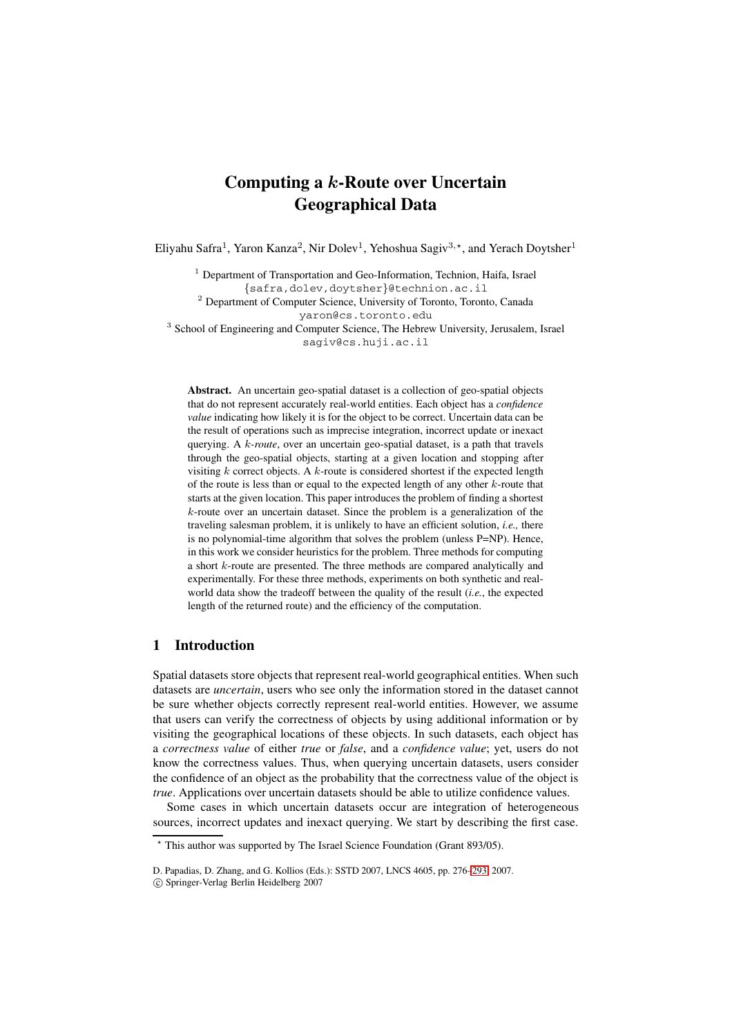# **Computing a** *k***-Route over Uncertain Geographical Data**

Eliyahu Safra<sup>1</sup>, Yaron Kanza<sup>2</sup>, Nir Dolev<sup>1</sup>, Yehoshua Sagiv<sup>3,\*</sup>, and Yerach Doytsher<sup>1</sup>

<sup>1</sup> Department of Transportation and Geo-Information, Technion, Haifa, Israel {safra,dolev,doytsher}@technion.ac.il <sup>2</sup> Department of Computer Science, University of Toronto, Toronto, Canada yaron@cs.toronto.edu <sup>3</sup> School of Engineering and Computer Science, The Hebrew University, Jerusalem, Israel sagiv@cs.huji.ac.il

Abstract. An uncertain geo-spatial dataset is a collection of geo-spatial objects that do not represent accurately real-world entities. Each object has a *confidence value* indicating how likely it is for the object to be correct. Uncertain data can be the result of operations such as imprecise integration, incorrect update or inexact querying. A k*-route*, over an uncertain geo-spatial dataset, is a path that travels through the geo-spatial objects, starting at a given location and stopping after visiting  $k$  correct objects. A  $k$ -route is considered shortest if the expected length of the route is less than or equal to the expected length of any other  $k$ -route that starts at the given location. This paper introduces the problem of finding a shortest k-route over an uncertain dataset. Since the problem is a generalization of the traveling salesman problem, it is unlikely to have an efficient solution, *i.e.,* there is no polynomial-time algorithm that solves the problem (unless P=NP). Hence, in this work we consider heuristics for the problem. Three methods for computing a short k-route are presented. The three methods are compared analytically and experimentally. For these three methods, experiments on both synthetic and realworld data show the tradeoff between the quality of the result (*i.e.*, the expected length of the returned route) and the efficiency of the computation.

# **1 Introduction**

Spatial datasets store objects that represent real-world geographical entities. When such datasets are *uncertain*, users who see only the information stored in the dataset cannot be sure whether objects correctly represent real-world entities. However, we assume that users can verify the correctness of objects by using additional information or by visiting the geographical locations of these objects. In such datasets, each object has a *correctness value* of either *true* or *false*, and a *confidence value*; yet, users do not know the correctness values. Thus, when querying uncertain datasets, users consider the confidence of an object as the probability that the correctness value of the object is *true*. Applications over uncertain datasets should be able to utilize confidence values.

Some cases in which uncertain datasets occur are integration of heterogeneous sources, incorrect updates and inexact querying. We start by describing the first case.

<sup>-</sup> This author was supported by The Israel Science Foundation (Grant 893/05).

D. Papadias, D. Zhang, and G. Kollios (Eds.): SSTD 2007, LNCS 4605, pp. 276–293, 2007.

<sup>-</sup>c Springer-Verlag Berlin Heidelberg 2007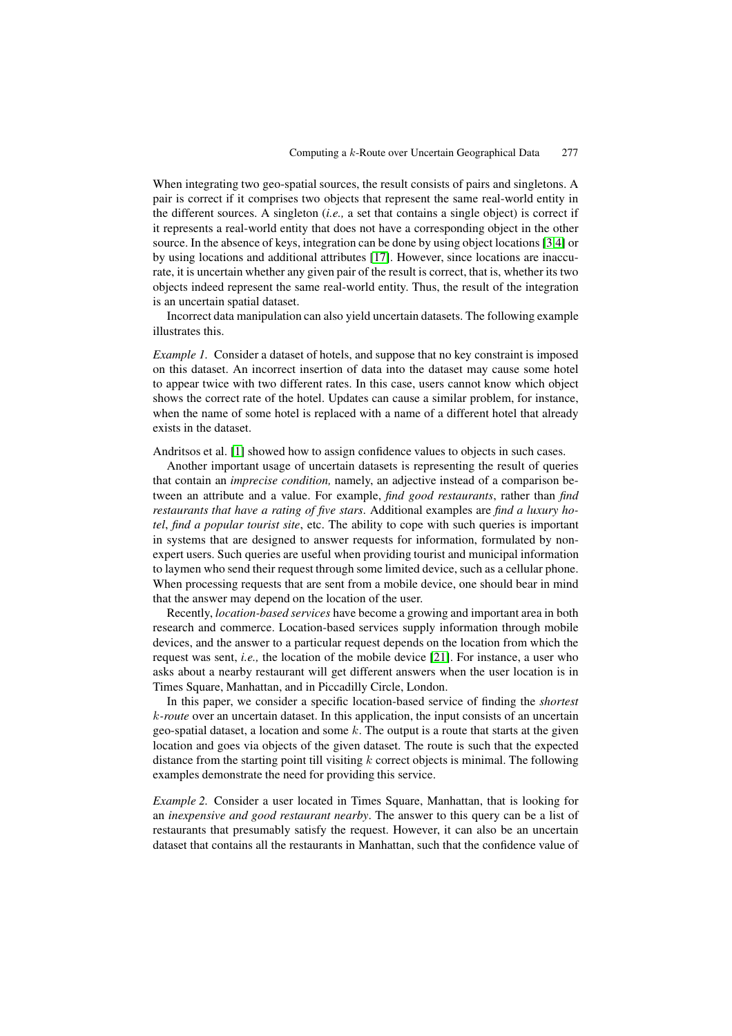When integrating two geo-spatial sources, the result consists of pairs and singletons. A pair is correct if it comprises two objects that represent the same real-world entity in the different sources. A singleton (*i.e.,* a set that contains a single object) is correct if it represents a real-world entity that does not have a corresponding object in the other source. In the absence of keys, integration can be done by using object locations [3,4] or by using locations and additional attributes [17]. However, since locations are inaccurate, it is uncertain whether any given pair of the result is correct, that is, whether its two objects indeed represent the same real-world entity. Thus, the result of the integration is an uncertain spatial dataset.

Incorrect data manipulation can also yield [unc](#page-17-0)ertain datasets. The following example illustrates this.

*Example 1.* Consider a dataset of hotels, and suppose that no key constraint is imposed on this dataset. An incorrect insertion of data into the dataset may cause some hotel to appear twice with two different rates. In this case, users cannot know which object shows the correct rate of the hotel. Updates can cause a similar problem, for instance, when the name of some hotel is replaced with a name of a different hotel that already exists in the dataset.

Andritsos et al. [1] showed how to assign confidence values to objects in such cases.

Another important usage of uncertain datasets is representing the result of queries that contain an *imprecise condition,* namely, an adjective instead of a comparison between an attribute and a value. For example, *find good restaurants*, rather than *find restaurants that [ha](#page-16-0)ve a rating of five stars*. Additional examples are *find a luxury hotel*, *find a popular tourist site*, etc. The ability to cope with such queries is important in systems that are designed to answer requests for information, formulated by nonexpert users. Such queries are useful when providing tourist and municipal information to laymen who send their request through some limited device, such as a cellular phone. When processing requests that are sent from a mobile device, one should bear in mind that the answer may depend on the location of the user.

Recently, *location-based services* have become a growing and important area in both research and commerce. Location-based services supply information through mobile devices, and the answer to a particular request depends on the location from which the request was sent, *i.e.,* the location of the mobile device [21]. For instance, a user who asks about a nearby restaurant will get different answers when the user location is in Times Square, Manhattan, and in Piccadilly Circle, London.

In this paper, we consider a specific location-based service of finding the *shortest* k*-route* over an uncertain dataset. In this application, the [inp](#page-17-1)ut consists of an uncertain geo-spatial dataset, a location and some  $k$ . The output is a route that starts at the given location and goes via objects of the given dataset. The route is such that the expected distance from the starting point till visiting  $k$  correct objects is minimal. The following examples demonstrate the need for providing this service.

*Example 2.* Consider a user located in Times Square, Manhattan, that is looking for an *inexpensive and good restaurant nearby*. The answer to this query can be a list of restaurants that presumably satisfy the request. However, it can also be an uncertain dataset that contains all the restaurants in Manhattan, such that the confidence value of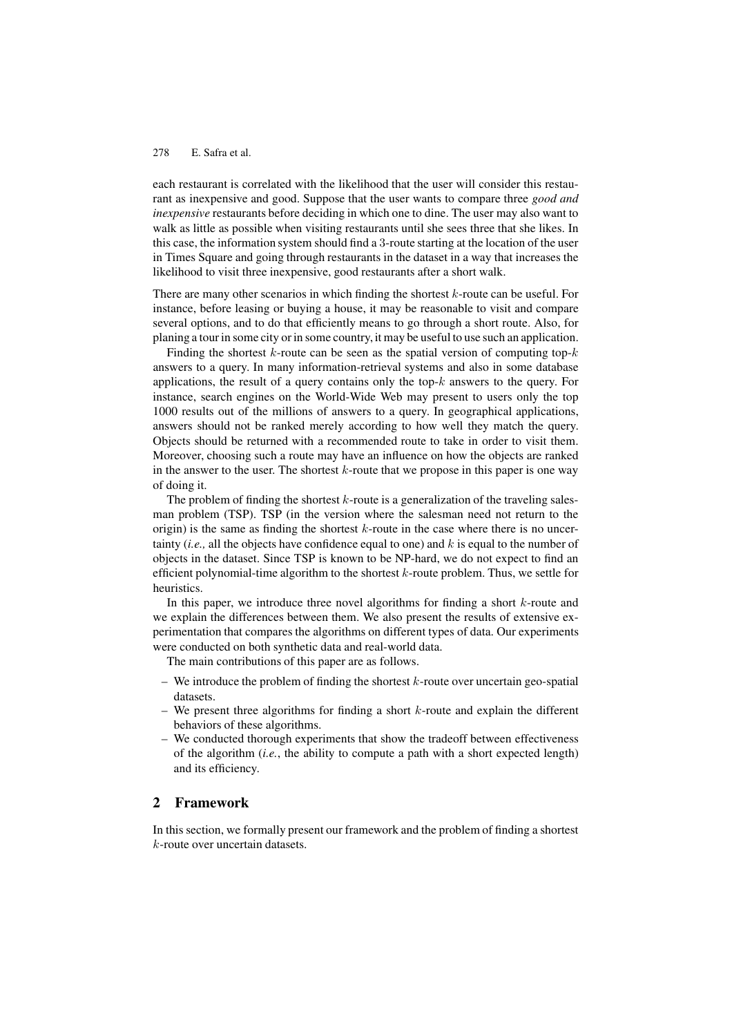each restaurant is correlated with the likelihood that the user will consider this restaurant as inexpensive and good. Suppose that the user wants to compare three *good and inexpensive* restaurants before deciding in which one to dine. The user may also want to walk as little as possible when visiting restaurants until she sees three that she likes. In this case, the information system should find a 3-route starting at the location of the user in Times Square and going through restaurants in the dataset in a way that increases the likelihood to visit three inexpensive, good restaurants after a short walk.

There are many other scenarios in which finding the shortest  $k$ -route can be useful. For instance, before leasing or buying a house, it may be reasonable to visit and compare several options, and to do that efficiently means to go through a short route. Also, for planing a tour in some city or in some country, it may be useful to use such an application.

Finding the shortest  $k$ -route can be seen as the spatial version of computing top- $k$ answers to a query. In many information-retrieval systems and also in some database applications, the result of a query contains only the top- $k$  answers to the query. For instance, search engines on the World-Wide Web may present to users only the top 1000 results out of the millions of answers to a query. In geographical applications, answers should not be ranked merely according to how well they match the query. Objects should be returned with a recommended route to take in order to visit them. Moreover, choosing such a route may have an influence on how the objects are ranked in the answer to the user. The shortest  $k$ -route that we propose in this paper is one way of doing it.

The problem of finding the shortest  $k$ -route is a generalization of the traveling salesman problem (TSP). TSP (in the version where the salesman need not return to the origin) is the same as finding the shortest  $k$ -route in the case where there is no uncertainty (*i.e.,* all the objects have confidence equal to one) and k is equal to the number of objects in the dataset. Since TSP is known to be NP-hard, we do not expect to find an efficient polynomial-time algorithm to the shortest  $k$ -route problem. Thus, we settle for heuristics.

In this paper, we introduce three novel algorithms for finding a short  $k$ -route and we explain the differences between them. We also present the results of extensive experimentation that compares the algorithms on different types of data. Our experiments were conducted on both synthetic data and real-world data.

The main contributions of this paper are as follows.

- We introduce the problem of finding the shortest  $k$ -route over uncertain geo-spatial datasets.
- We present three algorithms for finding a short  $k$ -route and explain the different behaviors of these algorithms.
- We conducted thorough experiments that show the tradeoff between effectiveness of the algorithm (*i.e.*, the ability to compute a path with a short expected length) and its efficiency.

# **2 Framework**

In this section, we formally present our framework and the problem of finding a shortest k-route over uncertain datasets.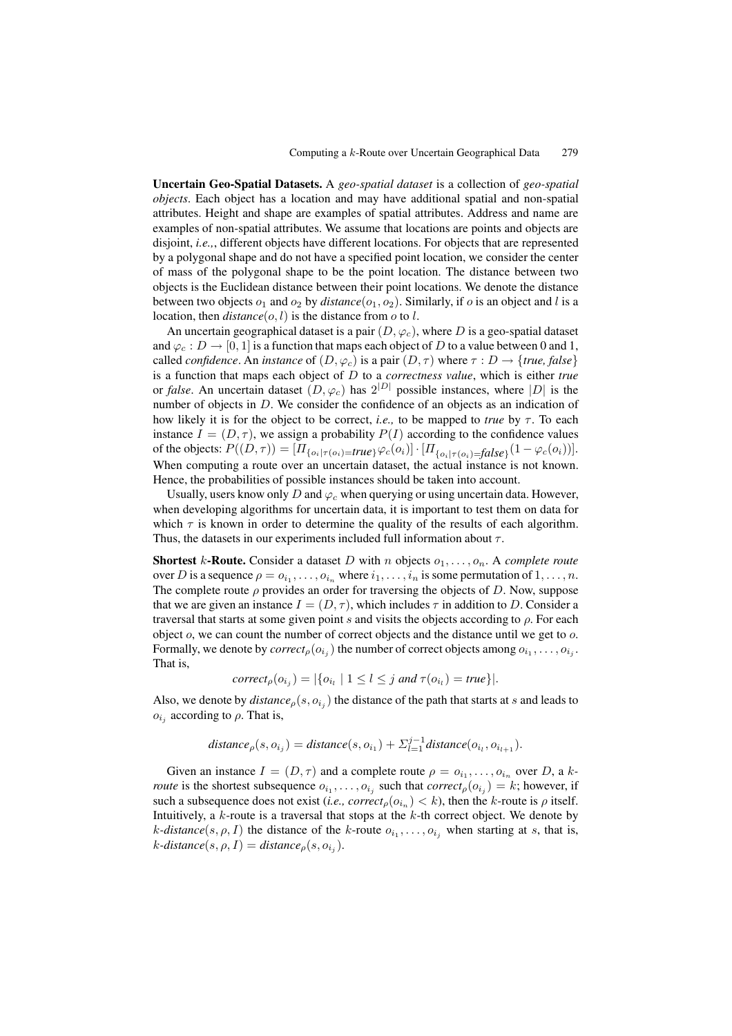**Uncertain Geo-Spatial Datasets.** A *geo-spatial dataset* is a collection of *geo-spatial objects*. Each object has a location and may have additional spatial and non-spatial attributes. Height and shape are examples of spatial attributes. Address and name are examples of non-spatial attributes. We assume that locations are points and objects are disjoint, *i.e.,*, different objects have different locations. For objects that are represented by a polygonal shape and do not have a specified point location, we consider the center of mass of the polygonal shape to be the point location. The distance between two objects is the Euclidean distance between their point locations. We denote the distance between two objects  $o_1$  and  $o_2$  by *distance*( $o_1$ ,  $o_2$ ). Similarly, if  $o$  is an object and l is a location, then  $distance(o, l)$  is the distance from  $o$  to  $l$ .

An uncertain geographical dataset is a pair  $(D, \varphi_c)$ , where D is a geo-spatial dataset and  $\varphi_c : D \to [0, 1]$  is a function that maps each object of D to a value between 0 and 1, called *confidence*. An *instance* of  $(D, \varphi_c)$  is a pair  $(D, \tau)$  where  $\tau : D \to \{true, false\}$ is a function that maps each object of D to a *correctness value*, which is either *true* or *false*. An uncertain dataset  $(D, \varphi_c)$  has  $2^{|D|}$  possible instances, where  $|D|$  is the number of objects in D. We consider the confidence of an objects as an indication of how likely it is for the object to be correct, *i.e.*, to be mapped to *true* by  $\tau$ . To each instance  $I = (D, \tau)$ , we assign a probability  $P(I)$  according to the confidence values of the objects:  $P((D, \tau)) = [H_{\{o_i | \tau(o_i) = true\}} \varphi_c(o_i)] \cdot [H_{\{o_i | \tau(o_i) = false\}}(1 - \varphi_c(o_i))].$ When computing a route over an uncertain dataset, the actual instance is not known. Hence, the probabilities of possible instances should be taken into account.

Usually, users know only D and  $\varphi_c$  when querying or using uncertain data. However, when developing algorithms for uncertain data, it is important to test them on data for which  $\tau$  is known in order to determine the quality of the results of each algorithm. Thus, the datasets in our experiments included full information about  $\tau$ .

**Shortest** k**-Route.** Consider a dataset D with n objects  $o_1, \ldots, o_n$ . A *complete route* over D is a sequence  $\rho = o_{i_1}, \ldots, o_{i_n}$  where  $i_1, \ldots, i_n$  is some permutation of  $1, \ldots, n$ . The complete route  $\rho$  provides an order for traversing the objects of D. Now, suppose that we are given an instance  $I = (D, \tau)$ , which includes  $\tau$  in addition to D. Consider a traversal that starts at some given point s and visits the objects according to  $\rho$ . For each object  $o$ , we can count the number of correct objects and the distance until we get to  $o$ . Formally, we denote by  $correct_{\rho}(o_{i_j})$  the number of correct objects among  $o_{i_1}, \ldots, o_{i_j}$ . That is,

$$
correct_{\rho}(o_{i_j}) = |\{o_{i_l} \mid 1 \leq l \leq j \text{ and } \tau(o_{i_l}) = true\}|.
$$

Also, we denote by  $distance_{\rho}(s, o_{i_j})$  the distance of the path that starts at s and leads to  $o_{i_j}$  according to  $\rho$ . That is,

$$
distance_{\rho}(s, o_{i_j}) = distance(s, o_{i_1}) + \sum_{l=1}^{j-1} distance(o_{i_l}, o_{i_{l+1}}).
$$

Given an instance  $I = (D, \tau)$  and a complete route  $\rho = o_{i_1}, \ldots, o_{i_n}$  over D, a k*route* is the shortest subsequence  $o_{i_1}, \ldots, o_{i_j}$  such that  $correct_{\rho}(o_{i_j}) = k$ ; however, if such a subsequence does not exist (*i.e., correct*<sub> $o$ </sub>( $o_{i_n}$ ) < k), then the k-route is  $\rho$  itself. Intuitively, a  $k$ -route is a traversal that stops at the  $k$ -th correct object. We denote by k-distance(s,  $\rho$ , I) the distance of the k-route  $o_{i_1}, \ldots, o_{i_j}$  when starting at s, that is,  $k$ *-distance* $(s, \rho, I) = distance_{\rho}(s, o_{i_{\rho}})$ .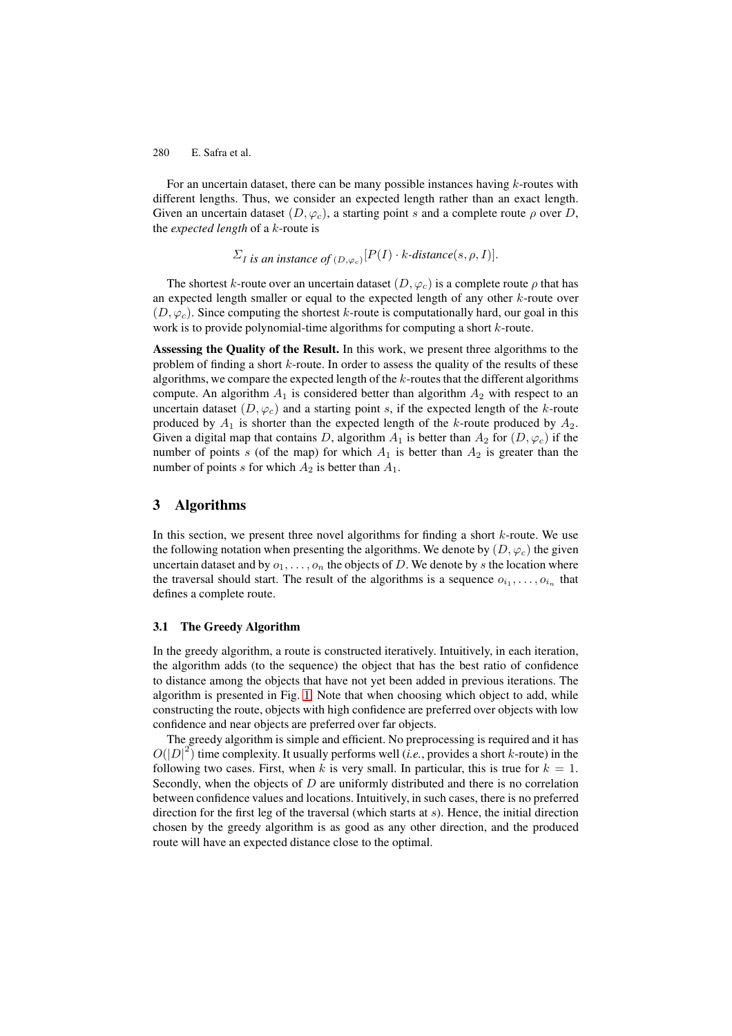For an uncertain dataset, there can be many possible instances having  $k$ -routes with different lengths. Thus, we consider an expected length rather than an exact length. Given an uncertain dataset  $(D, \varphi_c)$ , a starting point s and a complete route  $\rho$  over D, the *expected length* of a k-route is

$$
\Sigma_I
$$
 is an instance of  $(D,\varphi_c)$  [ $P(I) \cdot k$ -distance $(s, \rho, I)$ ].

The shortest k-route over an uncertain dataset  $(D, \varphi_c)$  is a complete route  $\rho$  that has an expected length smaller or equal to the expected length of any other  $k$ -route over  $(D, \varphi_c)$ . Since computing the shortest k-route is computationally hard, our goal in this work is to provide polynomial-time algorithms for computing a short  $k$ -route.

**Assessing the Quality of the Result.** In this work, we present three algorithms to the problem of finding a short  $k$ -route. In order to assess the quality of the results of these algorithms, we compare the expected length of the  $k$ -routes that the different algorithms compute. An algorithm  $A_1$  is considered better than algorithm  $A_2$  with respect to an uncertain dataset  $(D, \varphi_c)$  and a starting point s, if the expected length of the k-route produced by  $A_1$  is shorter than the expected length of the k-route produced by  $A_2$ . Given a digital map that contains D, algorithm  $A_1$  is better than  $A_2$  for  $(D, \varphi_c)$  if the number of points s (of the map) for which  $A_1$  is better than  $A_2$  is greater than the number of points s for which  $A_2$  is better than  $A_1$ .

# **3 Algorithms**

<span id="page-4-0"></span>In this section, we present three novel algorithms for finding a short  $k$ -route. We use the following notation when presenting the algorithms. We denote by  $(D, \varphi_c)$  the given uncertain dataset and by  $o_1, \ldots, o_n$  the objects of D. We denote by s the location where the traversal should start. The result of the algorithms is a sequence  $o_{i_1}, \ldots, o_{i_n}$  that defines a complete route.

#### **3.1 The Greedy Algorithm**

In the greedy algorithm, a route is constructed iteratively. Intuitively, in each iteration, the algorithm adds (to the sequence) the object that has the best ratio of confidence to distance among the objects that have not yet been added in previous iterations. The algorithm is presented in Fig. 1. Note that when choosing which object to add, while constructing the route, objects with high confidence are preferred over objects with low confidence and near objects are preferred over far objects.

The greedy algorithm is simple and efficient. No preprocessing is required and it has  $O(|D|^2)$  time complexity. It u[sua](#page-5-0)lly performs well (*i.e.*, provides a short k-route) in the following two cases. First, when k is very small. In particular, this is true for  $k = 1$ . Secondly, when the objects of  $D$  are uniformly distributed and there is no correlation between confidence values and locations. Intuitively, in such cases, there is no preferred direction for the first leg of the traversal (which starts at s). Hence, the initial direction chosen by the greedy algorithm is as good as any other direction, and the produced route will have an expected distance close to the optimal.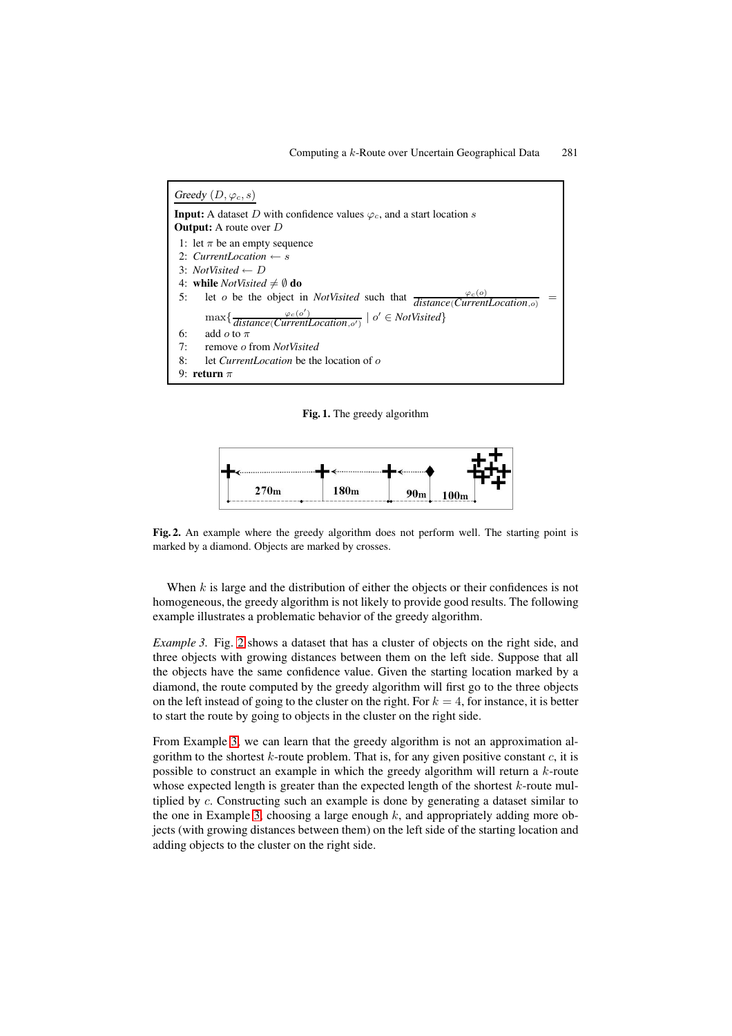| Greedy $(D, \varphi_c, s)$                                                                                               |
|--------------------------------------------------------------------------------------------------------------------------|
| <b>Input:</b> A dataset D with confidence values $\varphi_c$ , and a start location s<br><b>Output:</b> A route over $D$ |
| 1: let $\pi$ be an empty sequence                                                                                        |
| 2: CurrentLocation $\leftarrow s$                                                                                        |
| 3: NotVisited $\leftarrow D$                                                                                             |
| 4: while <i>NotVisited</i> $\neq \emptyset$ do                                                                           |
| let o be the object in <i>NotVisited</i> such that $\frac{\varphi_c(o)}{distance(CurrentLocation,o)}$<br>5:              |
| $\max\{\frac{\varphi_c(o')}{distance(CurrentLocation,o')} \mid o' \in NotVisited\}$                                      |
| 6:<br>add <i>o</i> to $\pi$                                                                                              |
| 7:<br>remove o from NotVisited                                                                                           |
| 8:<br>let <i>CurrentLocation</i> be the location of o                                                                    |
| return $\pi$                                                                                                             |

<span id="page-5-1"></span>**Fig. 1.** The greedy algorithm



<span id="page-5-0"></span>**Fig. 2.** An example where the greedy algorithm does not perform well. The starting point is marked by a diamond. Objects are marked by crosses.

When  $k$  is large and the distribution of either the objects or their confidences is not homogeneous, the greedy algorithm is not likely to provide good results. The following example illustrates a problematic behavior of the greedy algorithm.

<span id="page-5-2"></span>*Example 3.* Fig. 2 shows a dataset that has a cluster of objects on the right side, and three objects with growing distances between them on the left side. Suppose that all the objects have the same confidence value. Given the starting location marked by a diamond, the route computed by the greedy algorithm will first go to the three objects on the left instea[d o](#page-5-1)f going to the cluster on the right. For  $k = 4$ , for instance, it is better to start the route by going to objects in the cluster on the right side.

From Example 3, we can learn that the greedy algorithm is not an approximation algorithm to the shortest  $k$ -route problem. That is, for any given positive constant  $c$ , it is possible to construct an example in which the greedy algorithm will return a  $k$ -route whose expected length is greater than the expected length of the shortest  $k$ -route multiplied by c. C[ons](#page-5-2)tructing such an example is done by generating a dataset similar to the one in Example 3, choosing a large enough  $k$ , and appropriately adding more objects (with growing distances between them) on the left side of the starting location and adding objects to the cluster on the right side.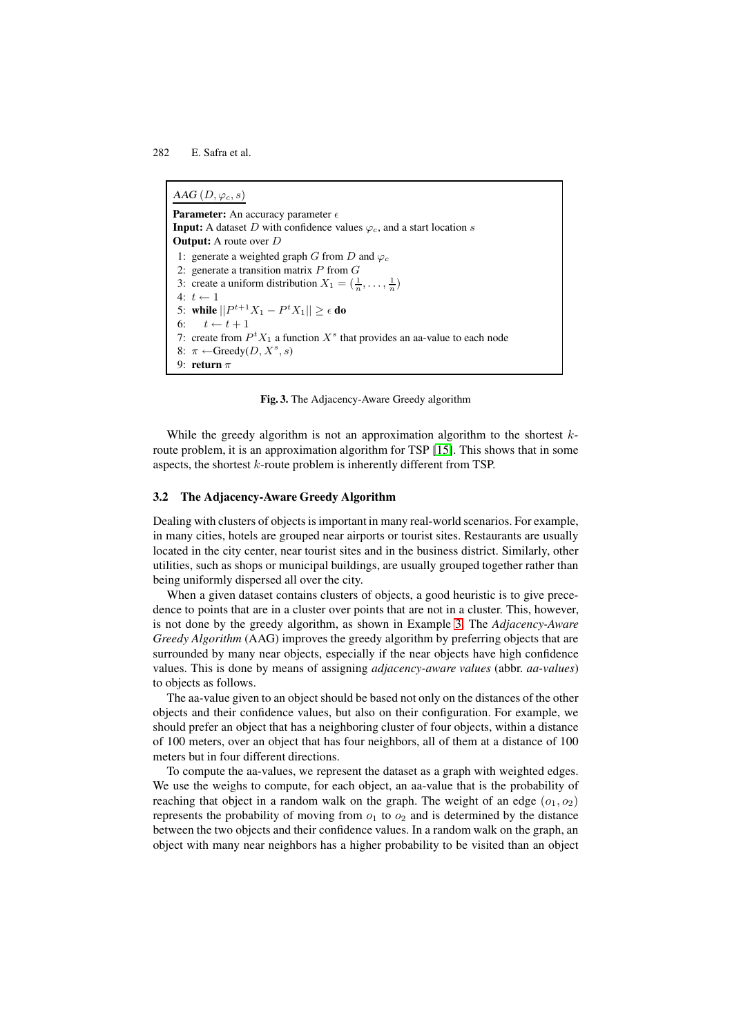$AAG\left(D,\varphi_{c},s\right)$ **Parameter:** An accuracy parameter  $\epsilon$ **Input:** A dataset D with confidence values  $\varphi_c$ , and a start location s **Output:** A route over D 1: generate a weighted graph G from D and  $\varphi_c$ 2: generate a transition matrix  $P$  from  $G$ 3: create a uniform distribution  $X_1 = (\frac{1}{n}, \dots, \frac{1}{n})$ 4:  $t \leftarrow 1$ 5: **while**  $||P^{t+1}X_1 - P^tX_1|| \ge \epsilon$  **do** 6:  $t \leftarrow t + 1$ 7: create from  $P^t X_1$  a function  $X^s$  that provides an aa-value to each node 8:  $\pi \leftarrow \text{Greedy}(D, X^s, s)$ 9: **return** π

<span id="page-6-0"></span>**Fig. 3.** The Adjacency-Aware Greedy algorithm

While the greedy algorithm is not an approximation algorithm to the shortest  $k$ route problem, it is an approximation algorithm for TSP [15]. This shows that in some aspects, the shortest  $k$ -route problem is inherently different from TSP.

#### **3.2 The Adjacency-Aware Greedy Algorithm**

Dealing with clusters of objects is important in many real-[wor](#page-17-2)ld scenarios. For example, in many cities, hotels are grouped near airports or tourist sites. Restaurants are usually located in the city center, near tourist sites and in the business district. Similarly, other utilities, such as shops or municipal buildings, are usually grouped together rather than being uniformly dispersed all over the city.

When a given dataset contains clusters of objects, a good heuristic is to give precedence to points that are in a cluster over points that are not in a cluster. This, however, is not done by the greedy algorithm, as shown in Example 3. The *Adjacency-Aware Greedy Algorithm* (AAG) improves the greedy algorithm by preferring objects that are surrounded by many near objects, especially if the near objects have high confidence values. This is done by means of assigning *adjacency-aware values* (abbr. *aa-values*) to objects as follows.

The aa-value given to an object should be based not only on the distances of the other objects and their confidence values, but also on their configuration. For example, we should prefer an object that has a neighboring cluster of four objects, within a distance of 100 meters, over an object that has four neighbors, all of them at a distance of 100 meters but in four different directions.

To compute the aa-values, we represent the dataset as a graph with weighted edges. We use the weighs to compute, for each object, an aa-value that is the probability of reaching that object in a random walk on the graph. The weight of an edge  $(o_1, o_2)$ represents the probability of moving from  $o_1$  to  $o_2$  and is determined by the distance between the two objects and their confidence values. In a random walk on the graph, an object with many near neighbors has a higher probability to be visited than an object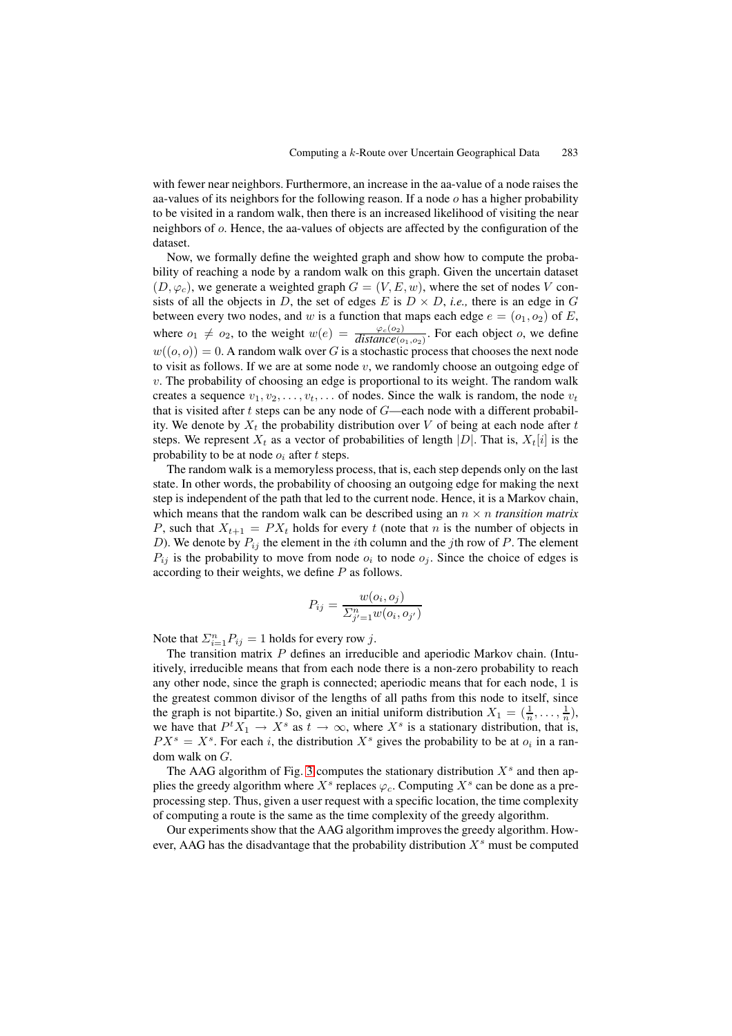with fewer near neighbors. Furthermore, an increase in the aa-value of a node raises the aa-values of its neighbors for the following reason. If a node  $\sigma$  has a higher probability to be visited in a random walk, then there is an increased likelihood of visiting the near neighbors of o. Hence, the aa-values of objects are affected by the configuration of the dataset.

Now, we formally define the weighted graph and show how to compute the probability of reaching a node by a random walk on this graph. Given the uncertain dataset  $(D, \varphi_c)$ , we generate a weighted graph  $G = (V, E, w)$ , where the set of nodes V consists of all the objects in D, the set of edges E is  $D \times D$ , *i.e.*, there is an edge in G between every two nodes, and w is a function that maps each edge  $e = (o_1, o_2)$  of E, where  $o_1 \neq o_2$ , to the weight  $w(e) = \frac{\varphi_e(o_2)}{distance(o_1, o_2)}$ . For each object o, we define  $w((o, o)) = 0$ . A random walk over G is a stochastic process that chooses the next node to visit as follows. If we are at some node  $v$ , we randomly choose an outgoing edge of v. The probability of choosing an edge is proportional to its weight. The random walk creates a sequence  $v_1, v_2, \ldots, v_t, \ldots$  of nodes. Since the walk is random, the node  $v_t$ that is visited after  $t$  steps can be any node of  $G$ —each node with a different probability. We denote by  $X_t$  the probability distribution over V of being at each node after t steps. We represent  $X_t$  as a vector of probabilities of length |D|. That is,  $X_t[i]$  is the probability to be at node  $o_i$  after t steps.

The random walk is a memoryless process, that is, each step depends only on the last state. In other words, the probability of choosing an outgoing edge for making the next step is independent of the path that led to the current node. Hence, it is a Markov chain, which means that the random walk can be described using an  $n \times n$  *transition matrix* P, such that  $X_{t+1} = PX_t$  holds for every t (note that n is the number of objects in D). We denote by  $P_{ij}$  the element in the *i*th column and the *j*th row of P. The element  $P_{ij}$  is the probability to move from node  $o_i$  to node  $o_j$ . Since the choice of edges is according to their weights, we define  $P$  as follows.

$$
P_{ij} = \frac{w(o_i, o_j)}{\sum_{j'=1}^{n} w(o_i, o_{j'})}
$$

Note that  $\sum_{i=1}^{n} P_{ij} = 1$  holds for every row j.

The transition matrix  $P$  defines an irreducible and aperiodic Markov chain. (Intuitively, irreducible means that from each node there is a non-zero probability to reach any other node, since the graph is connected; aperiodic means that for each node, 1 is the greatest common divisor of the lengths of all paths from this node to itself, since the graph is not bipartite.) So, given an initial uniform distribution  $X_1 = (\frac{1}{n}, \dots, \frac{1}{n})$ , we have that  $P^t X_1 \to X^s$  as  $t \to \infty$ , where  $X^s$  is a stationary distribution, that is,  $PX^s = X^s$ . For each i, the distribution  $X^s$  gives the probability to be at  $o_i$  in a random walk on G.

The AAG algorithm of Fig. 3 computes the stationary distribution  $X<sup>s</sup>$  and then applies the greedy algorithm where  $X^s$  replaces  $\varphi_c$ . Computing  $X^s$  can be done as a preprocessing step. Thus, given a user request with a specific location, the time complexity of computing a route is the same as the time complexity of the greedy algorithm.

Our experiments show that t[he](#page-6-0) AAG algorithm improves the greedy algorithm. However, AAG has the disadvantage that the probability distribution  $X<sup>s</sup>$  must be computed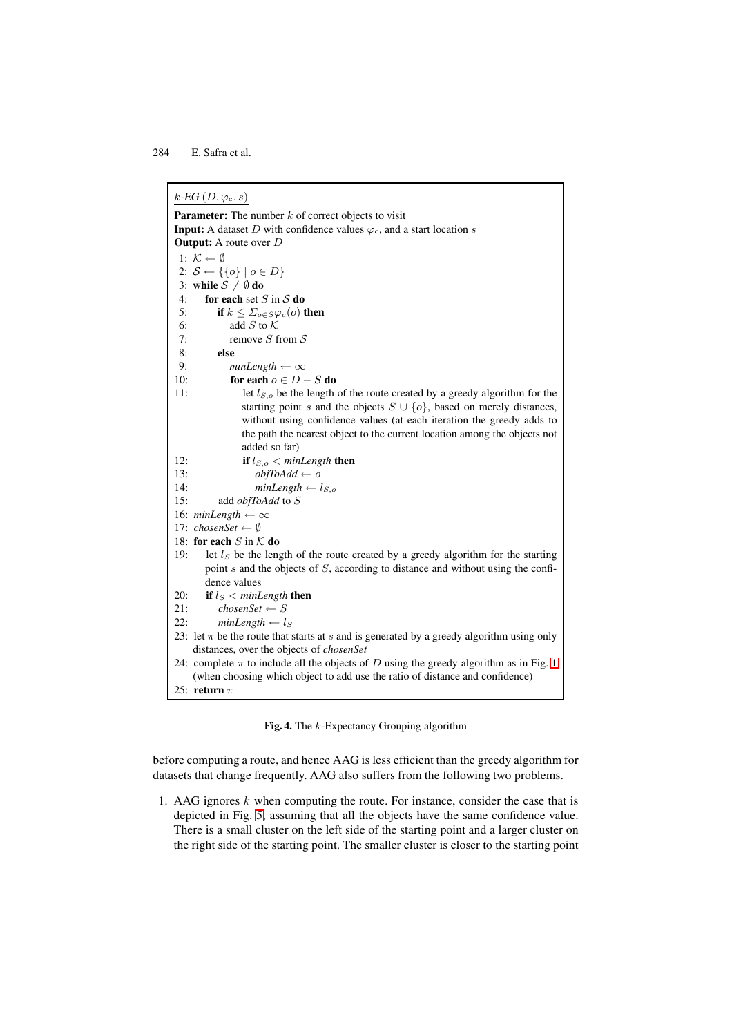$k$ -EG  $(D, \varphi_c, s)$ 

**Parameter:** The number k of correct objects to visit **Input:** A dataset  $D$  with confidence values  $\varphi_c$ , and a start location  $s$ **Output:** A route over D 1:  $K \leftarrow \emptyset$ 2:  $S \leftarrow \{\{o\} \mid o \in D\}$ 3: **while**  $S \neq \emptyset$  **do** 4: **for each** set S in S **do** 5: **if**  $k \leq \sum_{o \in S} \varphi_c(o)$  then 6: add  $S$  to  $K$ 7: remove  $S$  from  $S$ 8: **else** 9:  $minLength \leftarrow \infty$ 10: **for each** o ∈ D − S **do** 11: let  $l_{S,o}$  be the length of the route created by a greedy algorithm for the starting point s and the objects  $S \cup \{o\}$ , based on merely distances, without using confidence values (at each iteration the greedy adds to the path the nearest object to the current location among the objects not added so far) 12: **if**  $l_{S,o} < minLength$  **then** 13:  $objToAdd \leftarrow o$ 14:  $minLength \leftarrow l_{S,o}$ 15: add *objToAdd* to S 16:  $minLength \leftarrow \infty$ 17: *chosenSet* ← ∅ 18: **for each**  $S$  in  $K$  **do** 19: let  $l_S$  be the length of the route created by a greedy algorithm for the starting point  $s$  and the objects of  $S$ , according to distance and without using the confidence values 20: **if**  $l_S < minLength$  **then** 21:  $chosenSet \leftarrow S$ 22:  $minLength \leftarrow l_S$ 23: let  $\pi$  be the route that starts at s and is generated by a greedy algorithm using only distances, over the objects of *chosenSet* 24: complete  $\pi$  to include all the objects of D using the greedy algorithm as in Fig. 1 (when choosing which object to add use the ratio of distance and confidence) 25: **return** π

**Fig. 4.** The k-Expectancy Grouping algorithm

<span id="page-8-0"></span>before computing a route, and hence AAG is less efficient than the greedy algorithm for datasets that change frequently. AAG also suffers from the following two problems.

1. AAG ignores  $k$  when computing the route. For instance, consider the case that is depicted in Fig. 5, assuming that all the objects have the same confidence value. There is a small cluster on the left side of the starting point and a larger cluster on the right side of the starting point. The smaller cluster is closer to the starting point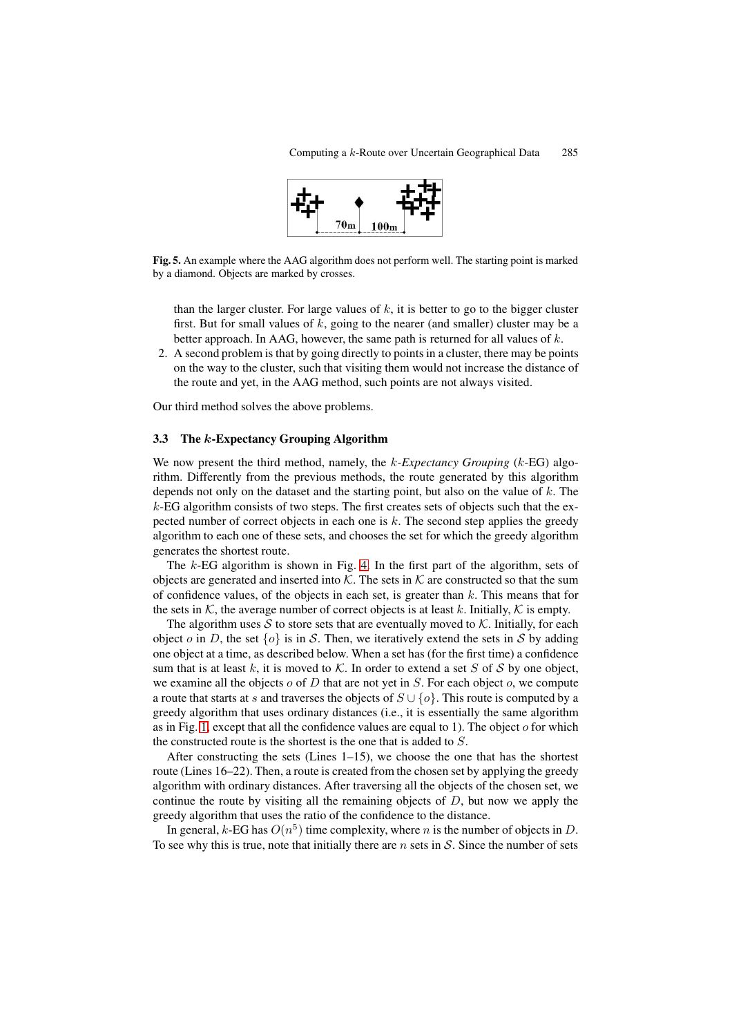Computing a k-Route over Uncertain Geographical Data 285



**Fig. 5.** An example where the AAG algorithm does not perform well. The starting point is marked by a diamond. Objects are marked by crosses.

than the larger cluster. For large values of  $k$ , it is better to go to the bigger cluster first. But for small values of  $k$ , going to the nearer (and smaller) cluster may be a better approach. In AAG, however, the same path is returned for all values of  $k$ .

2. A second problem is that by going directly to points in a cluster, there may be points on the way to the cluster, such that visiting them would not increase the distance of the route and yet, in the AAG method, such points are not always visited.

Our third method solves the above problems.

#### **3.3 The** *k***-Expectancy Grouping Algorithm**

We now present the third method, namely, the k*-Expectancy Grouping* (k-EG) algorithm. Differently from the previous methods, the route generated by this algorithm depends not only on the dataset and the starting point, but also on the value of  $k$ . The  $k$ -EG algorithm consists of two steps. The first creates sets of objects such that the expected number of correct objects in each one is  $k$ . The second step applies the greedy algorithm to each one of these sets, and chooses the set for which the greedy algorithm generates the shortest route.

The  $k$ -EG algorithm is shown in Fig. 4. In the first part of the algorithm, sets of objects are generated and inserted into K. The sets in K are constructed so that the sum of confidence values, of the objects in each set, is greater than  $k$ . This means that for the sets in  $K$ , the average number of correct objects is at least k. Initially, K is empty.

The algorithm uses  $S$  to store sets that [are](#page-8-0) eventually moved to  $K$ . Initially, for each object o in D, the set  $\{o\}$  is in S. Then, we iteratively extend the sets in S by adding one object at a time, as described below. When a set has (for the first time) a confidence sum that is at least k, it is moved to K. In order to extend a set S of S by one object, we examine all the objects  $o$  of  $D$  that are not yet in  $S$ . For each object  $o$ , we compute a route that starts at s and traverses the objects of  $S \cup \{o\}$ . This route is computed by a greedy algorithm that uses ordinary distances (i.e., it is essentially the same algorithm as in Fig. 1, except that all the confidence values are equal to 1). The object  $\sigma$  for which the constructed route is the shortest is the one that is added to S.

After constructing the sets (Lines  $1-15$ ), we choose the one that has the shortest route (Lines 16–22). Then, a route is created from the chosen set by applying the greedy algorith[m w](#page-5-0)ith ordinary distances. After traversing all the objects of the chosen set, we continue the route by visiting all the remaining objects of  $D$ , but now we apply the greedy algorithm that uses the ratio of the confidence to the distance.

In general, k-EG has  $O(n^5)$  time complexity, where n is the number of objects in D. To see why this is true, note that initially there are n sets in  $S$ . Since the number of sets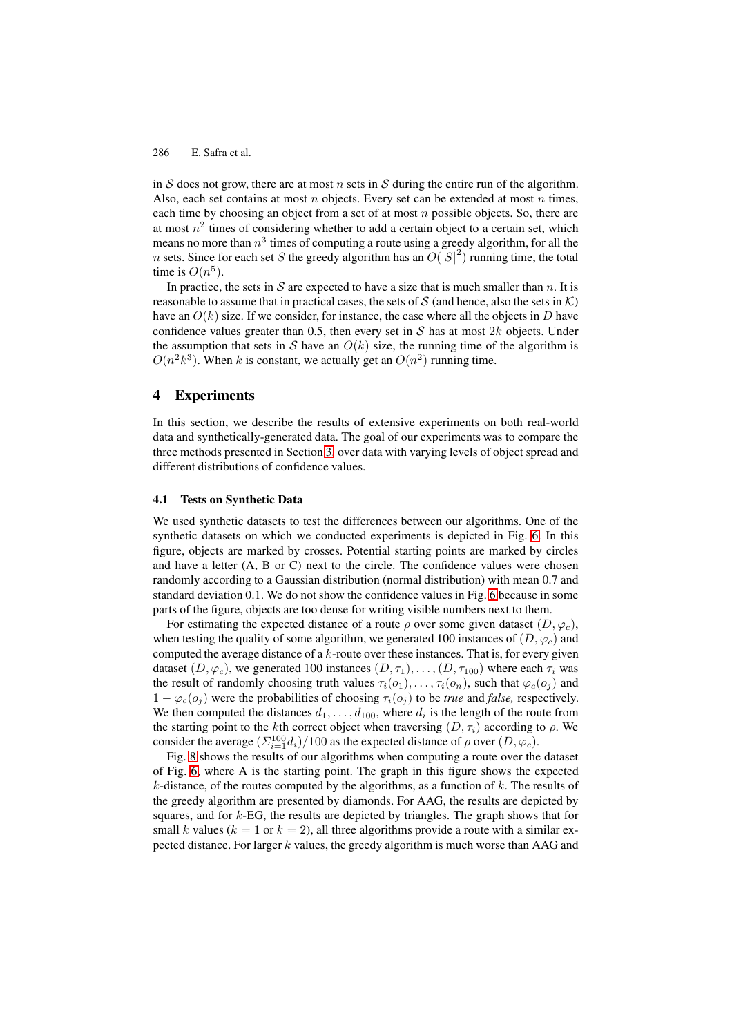in S does not grow, there are at most n sets in S during the entire run of the algorithm. Also, each set contains at most  $n$  objects. Every set can be extended at most  $n$  times, each time by choosing an object from a set of at most n possible objects. So, there are at most  $n^2$  times of considering whether to add a certain object to a certain set, which means no more than  $n<sup>3</sup>$  times of computing a route using a greedy algorithm, for all the n sets. Since for each set S the greedy algorithm has an  $O(|S|^2)$  running time, the total time is  $O(n^5)$ .

In practice, the sets in S are expected to have a size that is much smaller than n. It is reasonable to assume that in practical cases, the sets of S (and hence, also the sets in  $K$ ) have an  $O(k)$  size. If we consider, for instance, the case where all the objects in D have confidence values greater than 0.5, then every set in  $S$  has at most  $2k$  objects. Under the assumption that sets in S have an  $O(k)$  size, the running time of the algorithm is  $O(n^2k^3)$ . When k is constant, we actually get an  $O(n^2)$  running time.

# **4 Experiments**

In this section, we describe the results of extensive experiments on both real-world data and synthetically-generated data. The goal of our experiments was to compare the three methods presented in Section 3, over data with varying levels of object spread and different distributions of confidence values.

#### **4.1 Tests on Synthetic Data**

We used synthetic datasets to test [th](#page-4-0)e differences between our algorithms. One of the synthetic datasets on which we conducted experiments is depicted in Fig. 6. In this figure, objects are marked by crosses. Potential starting points are marked by circles and have a letter (A, B or C) next to the circle. The confidence values were chosen randomly according to a Gaussian distribution (normal distribution) with mean 0.7 and standard deviation 0.1. We do not show the confidence values in Fig. 6 becau[se](#page-11-0) in some parts of the figure, objects are too dense for writing visible numbers next to them.

For estimating the expected distance of a route  $\rho$  over some given dataset  $(D, \varphi_c)$ , when testing the quality of some algorithm, we generated 100 instances of  $(D, \varphi_c)$  and computed the average distance of a  $k$ -route over these instances. Tha[t is](#page-11-0), for every given dataset  $(D, \varphi_c)$ , we generated 100 instances  $(D, \tau_1), \ldots, (D, \tau_{100})$  where each  $\tau_i$  was the result of randomly choosing truth values  $\tau_i(o_1), \ldots, \tau_i(o_n)$ , such that  $\varphi_c(o_j)$  and  $1 - \varphi_c(o_i)$  were the probabilities of choosing  $\tau_i(o_i)$  to be *true* and *false*, respectively. We then computed the distances  $d_1, \ldots, d_{100}$ , where  $d_i$  is the length of the route from the starting point to the kth correct object when traversing  $(D, \tau_i)$  according to  $\rho$ . We consider the average  $\left(\sum_{i=1}^{100} d_i\right)/100$  as the expected distance of  $\rho$  over  $(D, \varphi_c)$ .

Fig. 8 shows the results of our algorithms when computing a route over the dataset of Fig. 6, where A is the starting point. The graph in this figure shows the expected  $k$ -distance, of the routes computed by the algorithms, as a function of  $k$ . The results of the greedy algorithm are presented by diamonds. For AAG, the results are depicted by square[s, a](#page-11-1)nd for  $k$ -EG, the results are depicted by triangles. The graph shows that for small k [v](#page-11-0)alues ( $k = 1$  or  $k = 2$ ), all three algorithms provide a route with a similar expected distance. For larger  $k$  values, the greedy algorithm is much worse than AAG and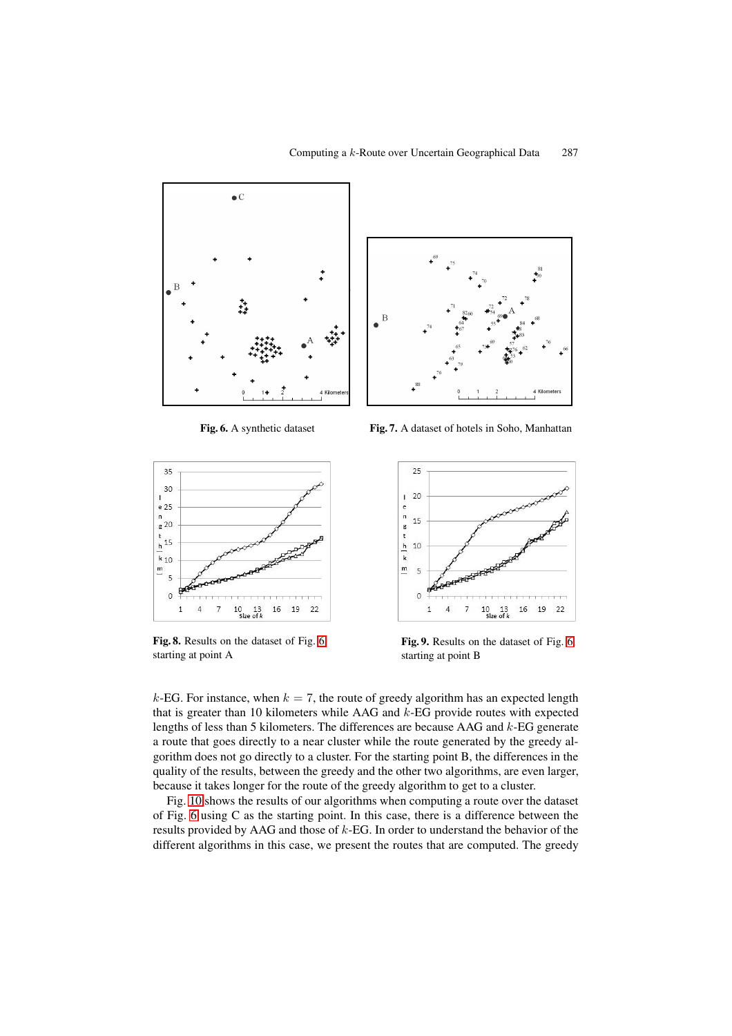

<span id="page-11-0"></span>



**Fig. 8.** Results on the dataset of Fig. 6, starting at point A



<span id="page-11-2"></span>

**Fig. 9.** Results on the dataset of Fig. 6, starting at point B

<span id="page-11-1"></span>k-EG. For instance, when  $k = 7$ , [th](#page-11-0)e route of greedy algorithm has an expected len[gth](#page-11-0) that is greater than 10 kilometers while AAG and k-EG provide routes with expected lengths of less than 5 kilometers. The differences are because AAG and k-EG generate a route that goes directly to a near cluster while the route generated by the greedy algorithm does not go directly to a cluster. For the starting point B, the differences in the quality of the results, between the greedy and the other two algorithms, are even larger, because it takes longer for the route of the greedy algorithm to get to a cluster.

Fig. 10 shows the results of our algorithms when computing a route over the dataset of Fig. 6 using C as the starting point. In this case, there is a difference between the results provided by AAG and those of k-EG. In order to understand the behavior of the different algorithms in this case, we present the routes that are computed. The greedy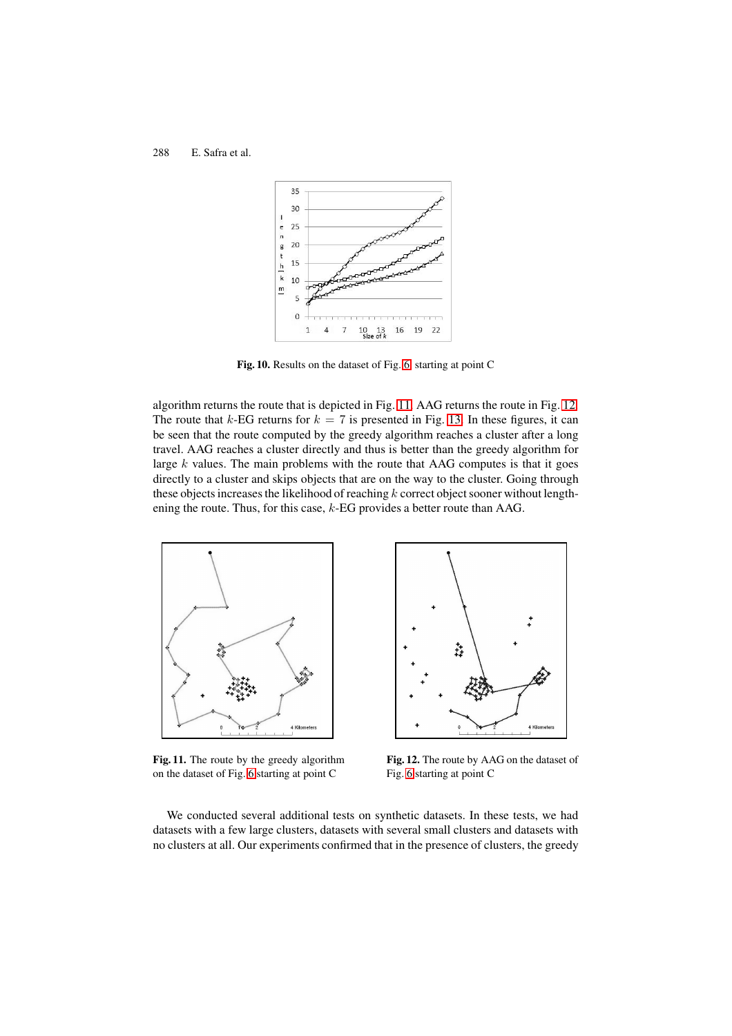

**Fig. 10.** Results on the dataset of Fig. 6, starting at point C

algorithm returns the route that is depicted in Fig. 11. AAG returns the route in Fig. 12. The route that  $k$ -EG returns for  $k = 7$  is present[ed](#page-11-0) in Fig. 13. In these figures, it can be seen that the route computed by the greedy algorithm reaches a cluster after a long travel. AAG reaches a cluster directly and thus is better than the greedy algorithm for large  $k$  values. The main problems with the rout[e th](#page-12-0)at AAG computes is that it g[oes](#page-12-1) directly to a cluster and skips objects that are on the way to [the](#page-13-0) cluster. Going through these objects increases the likelihood of reaching  $k$  correct object sooner without lengthening the route. Thus, for this case, k-EG provides a better route than AAG.



**Fig. 11.** The route by the greedy algorithm on the dataset of Fig. 6 starting at point C



<span id="page-12-1"></span>**Fig. 12.** The route by AAG on the dataset of Fig. 6 starting at point C

<span id="page-12-0"></span>We conducted several additional tests on synthetic datasets. In these tests, we had datasets with a few [la](#page-11-0)rge clusters, datasets with sev[era](#page-11-0)l small clusters and datasets with no clusters at all. Our experiments confirmed that in the presence of clusters, the greedy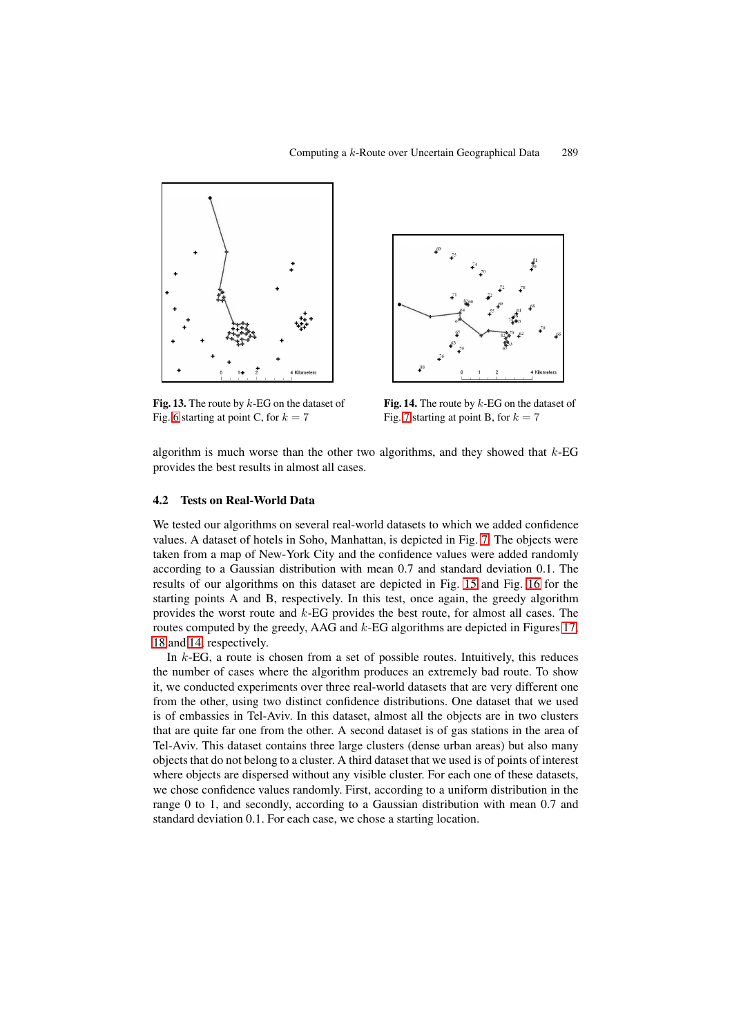

**Fig. 13.** The route by k-EG on the dataset of Fig. 6 starting at point C, for  $k = 7$ 



<span id="page-13-1"></span>**Fig. 14.** The route by k-EG on the dataset of Fig. 7 starting at point B, for  $k = 7$ 

<span id="page-13-0"></span>algorithm is much worse than the other two algorithms, and they showed that  $k$ -EG pro[vid](#page-11-0)es the best results in almost all cases.

### **4.2 Tests on Real-World Data**

We tested our algorithms on several real-world datasets to which we added confidence values. A dataset of hotels in Soho, Manhattan, is depicted in Fig. 7. The objects were taken from a map of New-York City and the confidence values were added randomly according to a Gaussian distribution with mean 0.7 and standard deviation 0.1. The results of our algorithms on this dataset are depicted in Fig. 15 and Fig. 16 for the starting points A and B, respectively. In this test, once again, t[he](#page-11-2) greedy algorithm provides the worst route and  $k$ -EG provides the best route, for almost all cases. The routes computed by the greedy, AAG and  $k$ -EG algorithms are depicted in Figures 17, 18 and 14, respectively.

In  $k$ -EG, a route is chosen from a set of possible routes. Intuitively, this reduces the number of cases where the algorithm produces an extremely bad route. To show it, we conducted experiments over three real-world datasets that are very different [one](#page-14-0) [fro](#page-14-1)m t[he o](#page-13-1)ther, using two distinct confidence distributions. One dataset that we used is of embassies in Tel-Aviv. In this dataset, almost all the objects are in two clusters that are quite far one from the other. A second dataset is of gas stations in the area of Tel-Aviv. This dataset contains three large clusters (dense urban areas) but also many objects that do not belong to a cluster. A third dataset that we used is of points of interest where objects are dispersed without any visible cluster. For each one of these datasets, we chose confidence values randomly. First, according to a uniform distribution in the range 0 to 1, and secondly, according to a Gaussian distribution with mean 0.7 and standard deviation 0.1. For each case, we chose a starting location.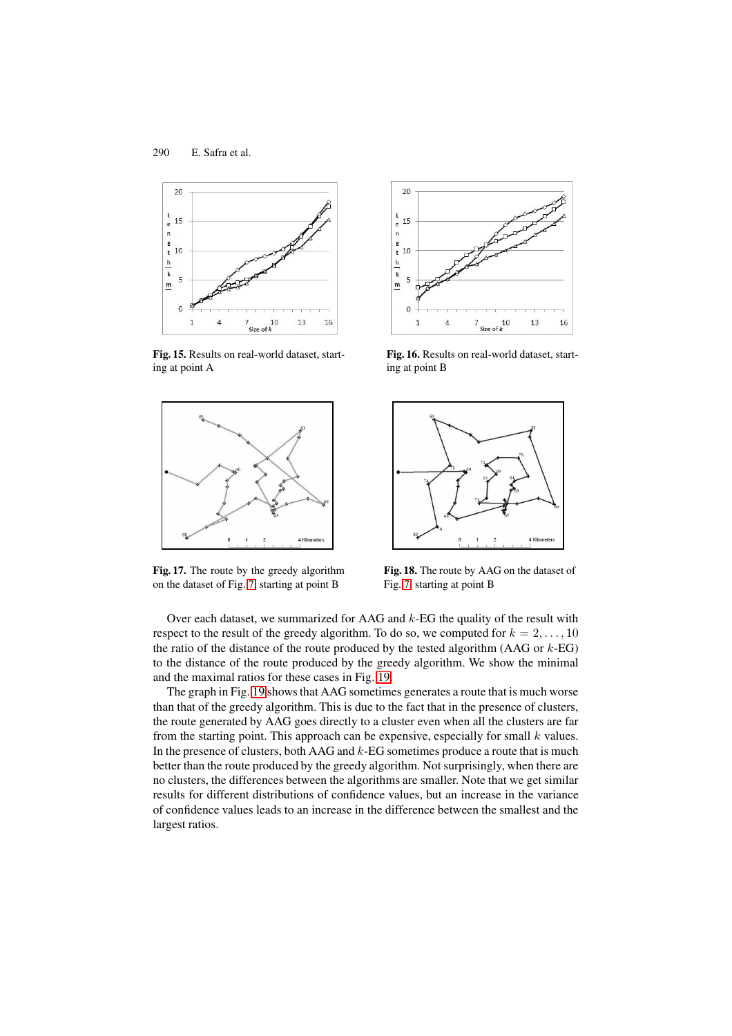

**Fig. 15.** Results on real-world dataset, starting at point A



**Fig. 17.** The route by the greedy algorithm on the dataset of Fig. 7, starting at point B



**Fig. 16.** Results on real-world dataset, starting at point B



<span id="page-14-1"></span>**Fig. 18.** The route by AAG on the dataset of Fig. 7, starting at point B

<span id="page-14-0"></span>Over each dataset, we summarized for AAG and  $k$ -EG the quality of the result with respect to the result of the greedy algorithm. To do so, we computed for  $k = 2, \ldots, 10$ the ratio of the dist[an](#page-11-2)ce of t[he](#page-11-2) route produced by the tested algorithm (AAG or  $k$ -EG) to the distance of the route produced by the greedy algorithm. We show the minimal and the maximal ratios for these cases in Fig. 19.

The graph in Fig. 19 shows that AAG sometimes generates a route that is much worse than that of the greedy algorithm. This is due to the fact that in the presence of clusters, the route generated by AAG goes directly to a cluster even when all the clusters are far from the starting point. This approach can be [exp](#page-15-0)ensive, especially for small  $k$  values. In the presence of cl[uste](#page-15-0)rs, both AAG and  $k$ -EG sometimes produce a route that is much better than the route produced by the greedy algorithm. Not surprisingly, when there are no clusters, the differences between the algorithms are smaller. Note that we get similar results for different distributions of confidence values, but an increase in the variance of confidence values leads to an increase in the difference between the smallest and the largest ratios.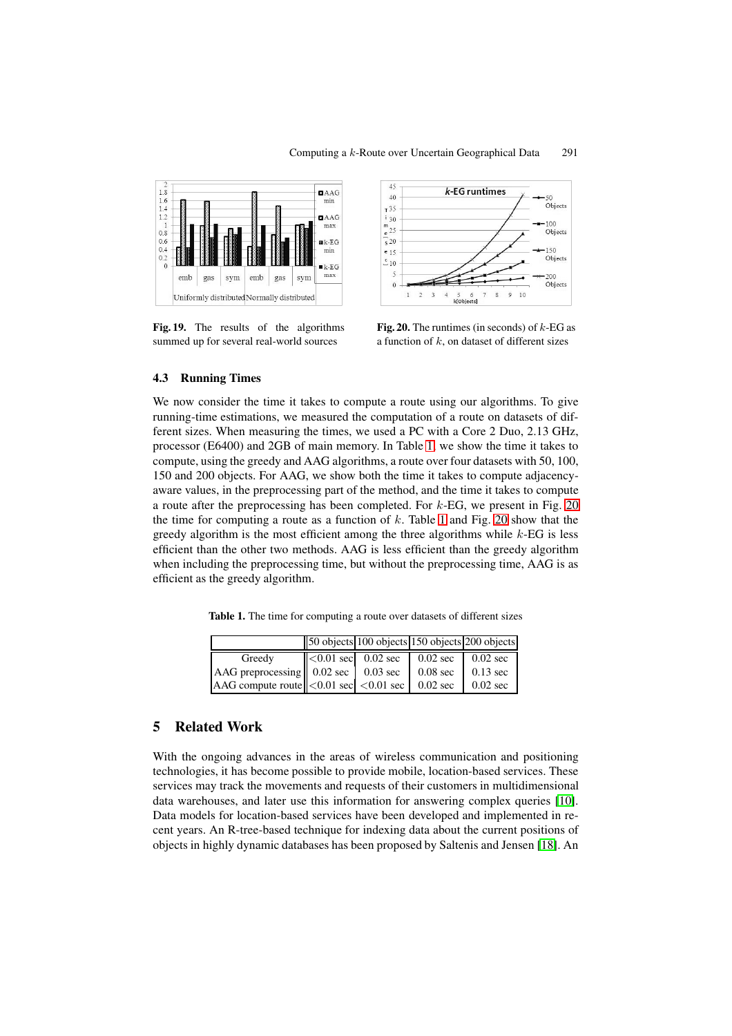

**Fig. 19.** The results of the algorithms summed up for several real-world sources



<span id="page-15-2"></span>**Fig. 20.** The runtimes (in seconds) of  $k$ -EG as a function of  $k$ , on dataset of different sizes

#### <span id="page-15-0"></span>**4.3 Running Times**

We now consider the time it takes to compute a route using our algorithms. To give running-time estimations, we measured the computation of a route on datasets of different sizes. When measuring the times, we used a PC with a Core 2 Duo, 2.13 GHz, processor (E6400) and 2GB of main memory. In Table 1, we show the time it takes to compute, using the greedy and AAG algorithms, a route over four datasets with 50, 100, 150 and 200 objects. For AAG, we show both the time it takes to compute adjacencyaware values, in the preprocessing part of the method, and the time it takes to compute a route after the preprocessing has been completed. F[or](#page-15-1)  $k$ -EG, we present in Fig. 20 the time for computing a route as a function of  $k$ . Table 1 and Fig. 20 show that the greedy algorithm is the most efficient among the three algorithms while  $k$ -EG is less efficient than the other two methods. AAG is less efficient than the greedy algorithm when including the preprocessing time, but without the preprocessing time, AAG i[s as](#page-15-2) efficient as the greedy algorithm.

**Table 1.** The time for computing a route over datasets of different sizes

|                                                                                                          |                                                 |            | [50 objects] 100 objects] 150 objects] 200 objects] |
|----------------------------------------------------------------------------------------------------------|-------------------------------------------------|------------|-----------------------------------------------------|
| Greedy                                                                                                   | $\leq 0.01$ sec $\mid$ 0.02 sec $\mid$ 0.02 sec |            | $0.02 \text{ sec}$                                  |
| $\vert$ AAG preprocessing $\vert \vert$ 0.02 sec $\vert$ 0.03 sec                                        |                                                 | $0.08$ sec | $0.13 \text{ sec}$                                  |
| $ {\text{AAG}}$ compute route $  \langle 0.01 \text{ sec}  \langle 0.01 \text{ sec}  0.02 \text{ sec}  $ |                                                 |            | $0.02 \text{ sec}$                                  |

# <span id="page-15-1"></span>**5 Related Work**

With the ongoing advances in the areas of wireless communication and positioning technologies, it has become possible to provide mobile, location-based services. These services may track the movements and requests of their customers in multidimensional data warehouses, and later use this information for answering complex queries [10]. Data models for location-based services have been developed and implemented in recent years. An R-tree-based technique for indexing data about the current positions of objects in highly dynamic databases has been proposed by Saltenis and Jensen [18]. An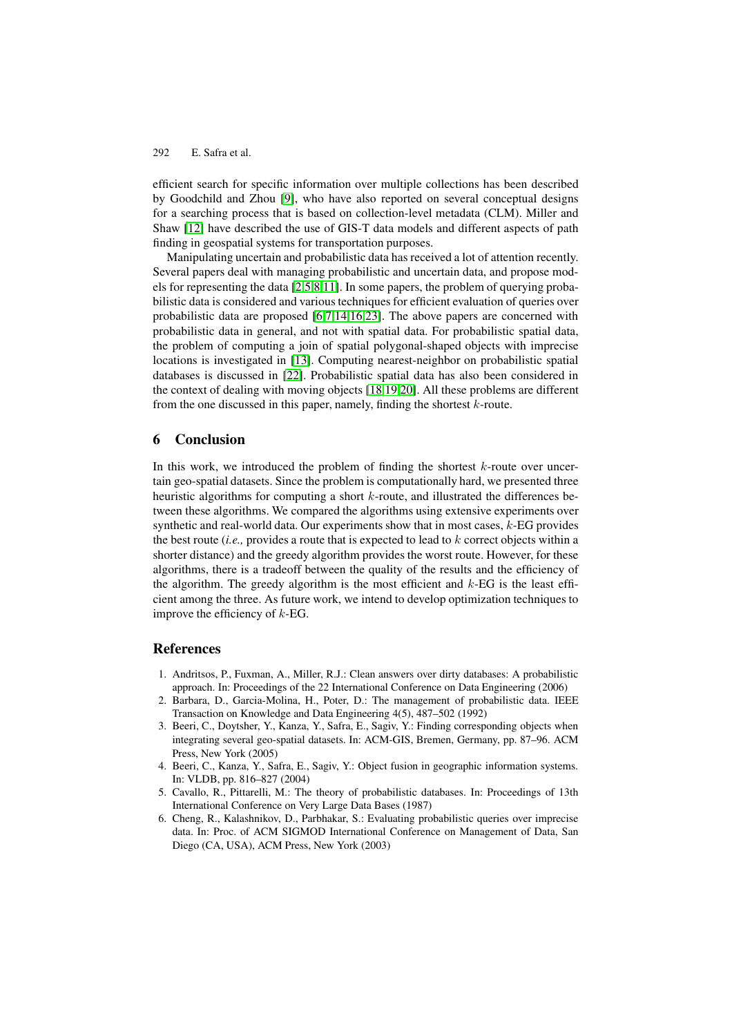efficient search for specific information over multiple collections has been described by Goodchild and Zhou [9], who have also reported on several conceptual designs for a searching process that is based on collection-level metadata (CLM). Miller and Shaw [12] have described the use of GIS-T data models and different aspects of path finding in geospatial systems for transportation purposes.

Manipulating uncertain [an](#page-17-3)d probabilistic data has received a lot of attention recently. Several papers deal with managing probabilistic and uncertain data, and propose models for [rep](#page-17-4)resenting the data [2,5,8,11]. In some papers, the problem of querying probabilistic data is considered and various techniques for efficient evaluation of queries over probabilistic data are proposed [6,7,14,16,23]. The above papers are concerned with probabilistic data in general, and not with spatial data. For probabilistic spatial data, the problem of computing [a j](#page-16-1)[oi](#page-16-2)[n](#page-17-5) [of](#page-17-6) spatial polygonal-shaped objects with imprecise locations is investigated in [13]. Computing nearest-neighbor on probabilistic spatial databases is discussed in [22]. [Pr](#page-16-3)[ob](#page-17-7)[abi](#page-17-8)[list](#page-17-9)[ic s](#page-17-10)patial data has also been considered in the context of dealing with moving objects [18,19,20]. All these problems are different from the one discussed in this paper, namely, finding the shortest  $k$ -route.

# **6 Conclusion**

In this work, we introduced the problem of finding the shortest  $k$ -route over uncertain geo-spatial datasets. Since the problem is computationally hard, we presented three heuristic algorithms for computing a short k-route, and illustrated the differences between these algorithms. We compared the algorithms using extensive experiments over synthetic and real-world data. Our experiments show that in most cases,  $k$ -EG provides the best route (*i.e.,* provides a route that is expected to lead to k correct objects within a shorter distance) and the greedy algorithm provides the worst route. However, for these algorithms, there is a tradeoff between the quality of the results and the efficiency of the algorithm. The greedy algorithm is the most efficient and  $k$ -EG is the least efficient among the three. As future work, we intend to develop optimization techniques to improve the efficiency of  $k$ -EG.

# **References**

- 1. Andritsos, P., Fuxman, A., Miller, R.J.: Clean answers over dirty databases: A probabilistic approach. In: Proceedings of the 22 International Conference on Data Engineering (2006)
- 2. Barbara, D., Garcia-Molina, H., Poter, D.: The management of probabilistic data. IEEE Transaction on Knowledge and Data Engineering 4(5), 487–502 (1992)
- <span id="page-16-0"></span>3. Beeri, C., Doytsher, Y., Kanza, Y., Safra, E., Sagiv, Y.: Finding corresponding objects when integrating several geo-spatial datasets. In: ACM-GIS, Bremen, Germany, pp. 87–96. ACM Press, New York (2005)
- <span id="page-16-1"></span>4. Beeri, C., Kanza, Y., Safra, E., Sagiv, Y.: Object fusion in geographic information systems. In: VLDB, pp. 816–827 (2004)
- 5. Cavallo, R., Pittarelli, M.: The theory of probabilistic databases. In: Proceedings of 13th International Conference on Very Large Data Bases (1987)
- <span id="page-16-3"></span><span id="page-16-2"></span>6. Cheng, R., Kalashnikov, D., Parbhakar, S.: Evaluating probabilistic queries over imprecise data. In: Proc. of ACM SIGMOD International Conference on Management of Data, San Diego (CA, USA), ACM Press, New York (2003)